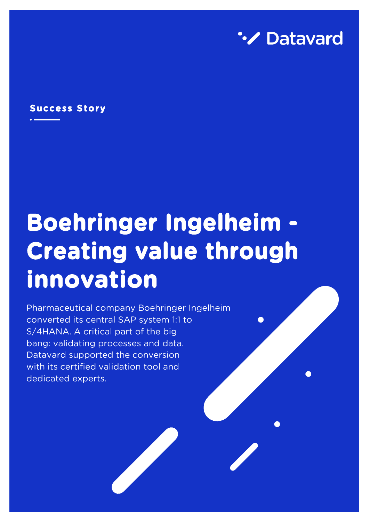

**Success Story** 

# **Boehringer Ingelheim - Creating value through innovation**

Pharmaceutical company Boehringer Ingelheim converted its central SAP system 1:1 to S/4HANA. A critical part of the big bang: validating processes and data. Datavard supported the conversion with its certified validation tool and dedicated experts.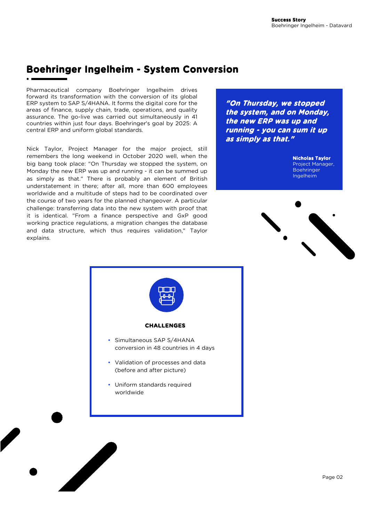## **Boehringer Ingelheim - System Conversion**

Pharmaceutical company Boehringer Ingelheim drives forward its transformation with the conversion of its global ERP system to SAP S/4HANA. It forms the digital core for the areas of finance, supply chain, trade, operations, and quality assurance. The go-live was carried out simultaneously in 41 countries within just four days. Boehringer's goal by 2025: A central ERP and uniform global standards.

Nick Taylor, Project Manager for the major project, still remembers the long weekend in October 2020 well, when the big bang took place: "On Thursday we stopped the system, on Monday the new ERP was up and running - it can be summed up as simply as that." There is probably an element of British understatement in there; after all, more than 600 employees worldwide and a multitude of steps had to be coordinated over the course of two years for the planned changeover. A particular challenge: transferring data into the new system with proof that it is identical. "From a finance perspective and GxP good working practice regulations, a migration changes the database and data structure, which thus requires validation," Taylor explains.

**"On Thursday, we stopped the system, and on Monday, the new ERP was up and running - you can sum it up as simply as that."** 

> **Nicholas Taylor**  Project Manager, Boehringer Ingelheim



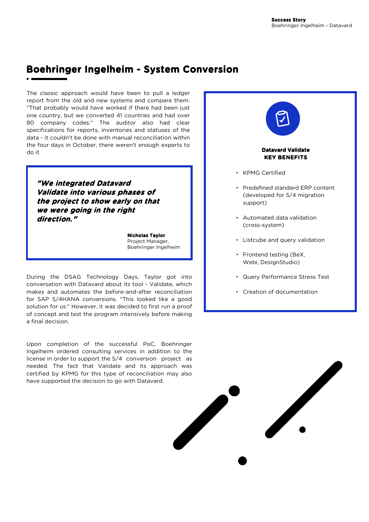## **Boehringer Ingelheim - System Conversion**

The classic approach would have been to pull a ledger report from the old and new systems and compare them. "That probably would have worked if there had been just one country, but we converted 41 countries and had over 80 company codes." The auditor also had clear specifications for reports, inventories and statuses of the data - it couldn't be done with manual reconciliation within the four days in October, there weren't enough experts to do it.

**"We integrated Datavard Validate into various phases of the project to show early on that we were going in the right direction."** 

> **Nicholas Taylor**  Project Manager, Boehringer Ingelheim

During the DSAG Technology Days, Taylor got into conversation with Datavard about its tool - Validate, which makes and automates the before-and-after reconciliation for SAP S/4HANA conversions. "This looked like a good solution for us." However, it was decided to first run a proof of concept and test the program intensively before making a final decision.

Upon completion of the successful PoC, Boehringer Ingelheim ordered consulting services in addition to the license in order to support the S/4 conversion project as needed. The fact that Validate and its approach was certified by KPMG for this type of reconciliation may also have supported the decision to go with Datavard.



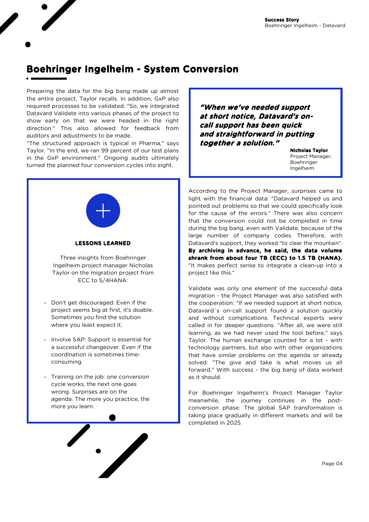#### **Boehringer Ingelheim - System Conversion**

Preparing the data for the big bang made up almost the entire project, Taylor recalls. In addition, GxP also required processes to be validated. "So, we integrated Datavard Validate into various phases of the project to show early on that we were headed in the right direction." This also allowed for feedback from auditors and adjustments to be made.

"The structured approach is typical in Pharma," says Taylor. "In the end, we ran 99 percent of our test plans in the GxP environment." Ongoing audits ultimately turned the planned four conversion cycles into eight.



- Involve SAP: Support is essential for a successful changeover. Even if the coordination is sometimes timeconsuming.
- Training on the job: one conversion cycle works, the next one goes wrong. Surprises are on the agenda. The more you practice, the more you learn.



**Nicholas Taylor**  Project Manager, Boehringer Ingelheim

According to the Project Manager, surprises came to light with the financial data: "Datavard helped us and pointed out problems so that we could specifically look for the cause of the errors." There was also concern that the conversion could not be completed in time during the big bang, even with Validate, because of the large number of company codes. Therefore, with Datavard's support, they worked "to clear the mountain". **By archiving in advance, he said, the data volume shrank from about four TB (ECC) to 1.5 TB (HANA).**  "It makes perfect sense to integrate a clean-up into a project like this."

Validate was only one element of the successful data migration - the Project Manager was also satisfied with the cooperation: "If we needed support at short notice, Datavard´s on-call support found a solution quickly and without complications. Technical experts were called in for deeper questions: "After all, we were still learning, as we had never used the tool before," says Taylor. The human exchange counted for a lot - with technology partners, but also with other organizations that have similar problems on the agenda or already solved: "The give and take is what moves us all forward." With success - the big bang of data worked as it should.

For Boehringer Ingelheim's Project Manager Taylor meanwhile, the journey continues in the postconversion phase: The global SAP transformation is taking place gradually in different markets and will be completed in 2025.

Page 04